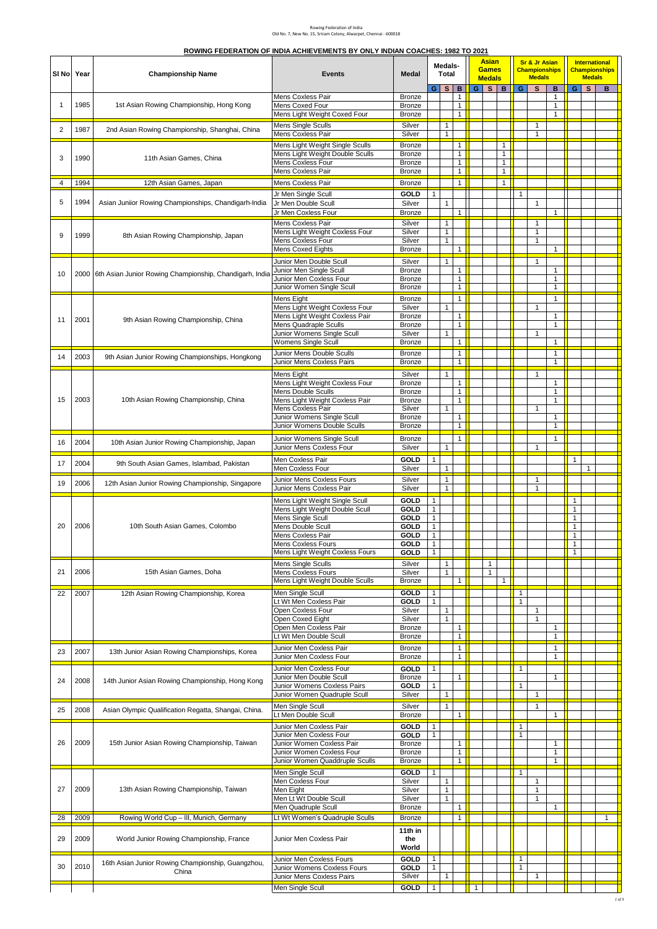## Rowing Federation of India Old No. 7, New No. 15, Sriram Colony, Alwarpet, Chennai - 600018

| ROWING FEDERATION OF INDIA ACHIEVEMENTS BY ONLY INDIAN COACHES: 1982 TO 2021 |  |
|------------------------------------------------------------------------------|--|
|                                                                              |  |

| SI No | Year | <b>Championship Name</b>                                     | <b>Events</b>                                                      | <b>Medal</b>               | Medals-<br>Total             |                              |                                   |              |                              |                              |                              |                              |                                   |                              |     |              |  |  |  |  |  |  |  |  |  |  |  |  |  |  |  |  |  |  |  |  |  |  |  |  | <b>Asian</b><br><b>Games</b><br><b>Medals</b> |  |  | <b>Sr &amp; Jr Asian</b><br><b>Championships</b><br><b>Medals</b> |  |  | <b>Medals</b> | International<br><b>Championships</b> |
|-------|------|--------------------------------------------------------------|--------------------------------------------------------------------|----------------------------|------------------------------|------------------------------|-----------------------------------|--------------|------------------------------|------------------------------|------------------------------|------------------------------|-----------------------------------|------------------------------|-----|--------------|--|--|--|--|--|--|--|--|--|--|--|--|--|--|--|--|--|--|--|--|--|--|--|--|-----------------------------------------------|--|--|-------------------------------------------------------------------|--|--|---------------|---------------------------------------|
| 1     | 1985 | 1st Asian Rowing Championship, Hong Kong                     | Mens Coxless Pair<br>Mens Coxed Four                               | Bronze<br>Bronze           | GI                           | s l                          | в<br>$\mathbf{1}$<br>$\mathbf{1}$ |              | $G$ $S$ $B$                  |                              | G                            | s                            | в<br>$\mathbf{1}$<br>$\mathbf{1}$ |                              | GIS | B            |  |  |  |  |  |  |  |  |  |  |  |  |  |  |  |  |  |  |  |  |  |  |  |  |                                               |  |  |                                                                   |  |  |               |                                       |
|       |      |                                                              | Mens Light Weight Coxed Four<br><b>Mens Single Sculls</b>          | Bronze<br>Silver           |                              | $\mathbf{1}$                 | $\mathbf{1}$                      |              |                              |                              |                              | $\mathbf{1}$                 | $\mathbf{1}$                      |                              |     |              |  |  |  |  |  |  |  |  |  |  |  |  |  |  |  |  |  |  |  |  |  |  |  |  |                                               |  |  |                                                                   |  |  |               |                                       |
| 2     | 1987 | 2nd Asian Rowing Championship, Shanghai, China               | Mens Coxless Pair                                                  | Silver                     |                              | $\mathbf{1}$                 |                                   |              |                              |                              |                              | 1                            |                                   |                              |     |              |  |  |  |  |  |  |  |  |  |  |  |  |  |  |  |  |  |  |  |  |  |  |  |  |                                               |  |  |                                                                   |  |  |               |                                       |
| 3     | 1990 | 11th Asian Games, China                                      | Mens Light Weight Single Sculls<br>Mens Light Weight Double Sculls | Bronze<br>Bronze           |                              |                              | $\mathbf{1}$<br>$\mathbf{1}$      |              |                              | $\mathbf{1}$<br>$\mathbf{1}$ |                              |                              |                                   |                              |     |              |  |  |  |  |  |  |  |  |  |  |  |  |  |  |  |  |  |  |  |  |  |  |  |  |                                               |  |  |                                                                   |  |  |               |                                       |
|       |      | Mens Coxless Four<br>Mens Coxless Pair                       | Bronze<br>Bronze                                                   |                            |                              | 1<br>$\mathbf{1}$            |                                   |              | $\mathbf{1}$<br>$\mathbf{1}$ |                              |                              |                              |                                   |                              |     |              |  |  |  |  |  |  |  |  |  |  |  |  |  |  |  |  |  |  |  |  |  |  |  |  |                                               |  |  |                                                                   |  |  |               |                                       |
| 4     | 1994 | 12th Asian Games, Japan                                      | Mens Coxless Pair                                                  | Bronze                     |                              |                              | $\mathbf{1}$                      |              |                              | $\mathbf{1}$                 |                              |                              |                                   |                              |     |              |  |  |  |  |  |  |  |  |  |  |  |  |  |  |  |  |  |  |  |  |  |  |  |  |                                               |  |  |                                                                   |  |  |               |                                       |
| 5     | 1994 |                                                              | Jr Men Single Scull                                                | <b>GOLD</b>                | $\mathbf{1}$                 |                              |                                   |              |                              |                              | $\mathbf{1}$                 |                              |                                   |                              |     |              |  |  |  |  |  |  |  |  |  |  |  |  |  |  |  |  |  |  |  |  |  |  |  |  |                                               |  |  |                                                                   |  |  |               |                                       |
|       |      | Asian Juniior Rowing Championships, Chandigarh-India         | Jr Men Double Scull<br>Jr Men Coxless Four                         | Silver<br>Bronze           |                              | $\mathbf{1}$                 | 1                                 |              |                              |                              |                              | $\mathbf{1}$                 | $\mathbf{1}$                      |                              |     |              |  |  |  |  |  |  |  |  |  |  |  |  |  |  |  |  |  |  |  |  |  |  |  |  |                                               |  |  |                                                                   |  |  |               |                                       |
|       |      |                                                              | Mens Coxless Pair<br>Mens Light Weight Coxless Four                | Silver<br>Silver           |                              | $\mathbf{1}$<br>1            |                                   |              |                              |                              |                              | $\mathbf{1}$<br>1            |                                   |                              |     |              |  |  |  |  |  |  |  |  |  |  |  |  |  |  |  |  |  |  |  |  |  |  |  |  |                                               |  |  |                                                                   |  |  |               |                                       |
| 9     | 1999 | 8th Asian Rowing Championship, Japan                         | Mens Coxless Four                                                  | Silver                     |                              | $\mathbf{1}$                 |                                   |              |                              |                              |                              | $\mathbf{1}$                 |                                   |                              |     |              |  |  |  |  |  |  |  |  |  |  |  |  |  |  |  |  |  |  |  |  |  |  |  |  |                                               |  |  |                                                                   |  |  |               |                                       |
|       |      |                                                              | <b>Mens Coxed Eights</b><br>Junior Men Double Scull                | <b>Bronze</b><br>Silver    |                              | $\mathbf{1}$                 | $\mathbf{1}$                      |              |                              |                              |                              | $\mathbf{1}$                 | $\mathbf{1}$                      |                              |     |              |  |  |  |  |  |  |  |  |  |  |  |  |  |  |  |  |  |  |  |  |  |  |  |  |                                               |  |  |                                                                   |  |  |               |                                       |
| 10    |      | 2000 6th Asian Junior Rowing Championship, Chandigarh, India | Junior Men Single Scull                                            | Bronze                     |                              |                              | $\mathbf{1}$                      |              |                              |                              |                              |                              | $\mathbf{1}$                      |                              |     |              |  |  |  |  |  |  |  |  |  |  |  |  |  |  |  |  |  |  |  |  |  |  |  |  |                                               |  |  |                                                                   |  |  |               |                                       |
|       |      |                                                              | Junior Men Coxless Four<br>Junior Women Single Scull               | Bronze<br>Bronze           |                              |                              | $\mathbf{1}$<br>$\mathbf{1}$      |              |                              |                              |                              |                              | $\mathbf{1}$<br>$\mathbf{1}$      |                              |     |              |  |  |  |  |  |  |  |  |  |  |  |  |  |  |  |  |  |  |  |  |  |  |  |  |                                               |  |  |                                                                   |  |  |               |                                       |
|       |      |                                                              | Mens Eight                                                         | Bronze                     |                              |                              | $\mathbf{1}$                      |              |                              |                              |                              |                              | $\mathbf{1}$                      |                              |     |              |  |  |  |  |  |  |  |  |  |  |  |  |  |  |  |  |  |  |  |  |  |  |  |  |                                               |  |  |                                                                   |  |  |               |                                       |
|       |      |                                                              | Mens Light Weight Coxless Four<br>Mens Light Weight Coxless Pair   | Silver<br><b>Bronze</b>    |                              | $\mathbf{1}$                 | 1                                 |              |                              |                              |                              | $\mathbf{1}$                 | $\mathbf{1}$                      |                              |     |              |  |  |  |  |  |  |  |  |  |  |  |  |  |  |  |  |  |  |  |  |  |  |  |  |                                               |  |  |                                                                   |  |  |               |                                       |
| 11    | 2001 | 9th Asian Rowing Championship, China                         | Mens Quadraple Sculls                                              | Bronze                     |                              |                              | 1                                 |              |                              |                              |                              |                              | $\mathbf{1}$                      |                              |     |              |  |  |  |  |  |  |  |  |  |  |  |  |  |  |  |  |  |  |  |  |  |  |  |  |                                               |  |  |                                                                   |  |  |               |                                       |
|       |      |                                                              | Junior Womens Single Scull<br>Womens Single Scull                  | Silver<br>Bronze           |                              | 1                            | $\mathbf{1}$                      |              |                              |                              |                              | $\mathbf{1}$                 | $\mathbf{1}$                      |                              |     |              |  |  |  |  |  |  |  |  |  |  |  |  |  |  |  |  |  |  |  |  |  |  |  |  |                                               |  |  |                                                                   |  |  |               |                                       |
| 14    | 2003 | 9th Asian Junior Rowing Championships, Hongkong              | Junior Mens Double Sculls                                          | Bronze                     |                              |                              | $\mathbf{1}$                      |              |                              |                              |                              |                              | $\mathbf{1}$                      |                              |     |              |  |  |  |  |  |  |  |  |  |  |  |  |  |  |  |  |  |  |  |  |  |  |  |  |                                               |  |  |                                                                   |  |  |               |                                       |
|       |      |                                                              | Junior Mens Coxless Pairs<br>Mens Eight                            | Bronze<br>Silver           |                              | $\mathbf{1}$                 | $\mathbf{1}$                      |              |                              |                              |                              | $\mathbf{1}$                 | $\mathbf{1}$                      |                              |     |              |  |  |  |  |  |  |  |  |  |  |  |  |  |  |  |  |  |  |  |  |  |  |  |  |                                               |  |  |                                                                   |  |  |               |                                       |
|       |      |                                                              | Mens Light Weight Coxless Four                                     | Bronze                     |                              |                              | $\mathbf{1}$                      |              |                              |                              |                              |                              | $\mathbf{1}$                      |                              |     |              |  |  |  |  |  |  |  |  |  |  |  |  |  |  |  |  |  |  |  |  |  |  |  |  |                                               |  |  |                                                                   |  |  |               |                                       |
| 15    | 2003 | 10th Asian Rowing Championship, China                        | Mens Double Sculls<br>Mens Light Weight Coxless Pair               | Bronze<br><b>Bronze</b>    |                              |                              | 1<br>$\mathbf{1}$                 |              |                              |                              |                              |                              | $\mathbf{1}$<br>$\mathbf{1}$      |                              |     |              |  |  |  |  |  |  |  |  |  |  |  |  |  |  |  |  |  |  |  |  |  |  |  |  |                                               |  |  |                                                                   |  |  |               |                                       |
|       |      |                                                              | Mens Coxless Pair<br>Junior Womens Single Scull                    | Silver<br><b>Bronze</b>    |                              | $\mathbf{1}$                 | $\mathbf{1}$                      |              |                              |                              |                              | $\mathbf{1}$                 | $\mathbf{1}$                      |                              |     |              |  |  |  |  |  |  |  |  |  |  |  |  |  |  |  |  |  |  |  |  |  |  |  |  |                                               |  |  |                                                                   |  |  |               |                                       |
|       |      |                                                              | Junior Womens Double Sculls                                        | Bronze                     |                              |                              | $\mathbf{1}$                      |              |                              |                              |                              |                              | $\mathbf{1}$                      |                              |     |              |  |  |  |  |  |  |  |  |  |  |  |  |  |  |  |  |  |  |  |  |  |  |  |  |                                               |  |  |                                                                   |  |  |               |                                       |
| 16    | 2004 | 10th Asian Junior Rowing Championship, Japan                 | Junior Womens Single Scull                                         | Bronze                     |                              |                              | $\mathbf{1}$                      |              |                              |                              |                              |                              | $\mathbf{1}$                      |                              |     |              |  |  |  |  |  |  |  |  |  |  |  |  |  |  |  |  |  |  |  |  |  |  |  |  |                                               |  |  |                                                                   |  |  |               |                                       |
|       |      |                                                              | Junior Mens Coxless Four<br>Men Coxless Pair                       | Silver<br>GOLD             | $\mathbf{1}$                 | $\mathbf{1}$                 |                                   |              |                              |                              |                              | $\mathbf{1}$                 |                                   | $\mathbf{1}$                 |     |              |  |  |  |  |  |  |  |  |  |  |  |  |  |  |  |  |  |  |  |  |  |  |  |  |                                               |  |  |                                                                   |  |  |               |                                       |
| 17    | 2004 | 9th South Asian Games, Islambad, Pakistan                    | Men Coxless Four                                                   | Silver                     |                              | $\mathbf{1}$                 |                                   |              |                              |                              |                              |                              |                                   |                              | 1   |              |  |  |  |  |  |  |  |  |  |  |  |  |  |  |  |  |  |  |  |  |  |  |  |  |                                               |  |  |                                                                   |  |  |               |                                       |
| 19    | 2006 | 12th Asian Junior Rowing Championship, Singapore             | Junior Mens Coxless Fours<br>Junior Mens Coxless Pair              | Silver<br>Silver           |                              | $\mathbf{1}$<br>$\mathbf{1}$ |                                   |              |                              |                              |                              | $\mathbf{1}$<br>$\mathbf{1}$ |                                   |                              |     |              |  |  |  |  |  |  |  |  |  |  |  |  |  |  |  |  |  |  |  |  |  |  |  |  |                                               |  |  |                                                                   |  |  |               |                                       |
|       |      |                                                              | Mens Light Weight Single Scull                                     | GOLD                       | $\mathbf{1}$                 |                              |                                   |              |                              |                              |                              |                              |                                   | $\mathbf{1}$                 |     |              |  |  |  |  |  |  |  |  |  |  |  |  |  |  |  |  |  |  |  |  |  |  |  |  |                                               |  |  |                                                                   |  |  |               |                                       |
|       |      |                                                              | Mens Light Weight Double Scull<br>Mens Single Scull                | GOLD<br>GOLD               | $\mathbf{1}$<br>$\mathbf{1}$ |                              |                                   |              |                              |                              |                              |                              |                                   | $\mathbf{1}$<br>$\mathbf{1}$ |     |              |  |  |  |  |  |  |  |  |  |  |  |  |  |  |  |  |  |  |  |  |  |  |  |  |                                               |  |  |                                                                   |  |  |               |                                       |
| 20    | 2006 | 10th South Asian Games, Colombo                              | Mens Double Scull                                                  | GOLD                       | $\mathbf{1}$                 |                              |                                   |              |                              |                              |                              |                              |                                   | $\mathbf{1}$                 |     |              |  |  |  |  |  |  |  |  |  |  |  |  |  |  |  |  |  |  |  |  |  |  |  |  |                                               |  |  |                                                                   |  |  |               |                                       |
|       |      |                                                              | Mens Coxless Pair<br><b>Mens Coxless Fours</b>                     | GOLD<br>GOLD               | $\mathbf{1}$<br>$\mathbf{1}$ |                              |                                   |              |                              |                              |                              |                              |                                   | $\mathbf{1}$<br>$\mathbf{1}$ |     |              |  |  |  |  |  |  |  |  |  |  |  |  |  |  |  |  |  |  |  |  |  |  |  |  |                                               |  |  |                                                                   |  |  |               |                                       |
|       |      |                                                              | Mens Light Weight Coxless Fours                                    | GOLD                       | $\mathbf{1}$                 |                              |                                   |              |                              |                              |                              |                              |                                   | $\mathbf{1}$                 |     |              |  |  |  |  |  |  |  |  |  |  |  |  |  |  |  |  |  |  |  |  |  |  |  |  |                                               |  |  |                                                                   |  |  |               |                                       |
| 21    | 2006 | 15th Asian Games, Doha                                       | Mens Single Sculls<br>Mens Coxless Fours                           | Silver<br>Silver           |                              | $\mathbf{1}$<br>$\mathbf{1}$ |                                   |              | $\mathbf{1}$<br>$\mathbf{1}$ |                              |                              |                              |                                   |                              |     |              |  |  |  |  |  |  |  |  |  |  |  |  |  |  |  |  |  |  |  |  |  |  |  |  |                                               |  |  |                                                                   |  |  |               |                                       |
|       |      |                                                              | Mens Light Weight Double Sculls                                    | Bronze                     |                              |                              | 1                                 |              |                              | $\mathbf{1}$                 |                              |                              |                                   |                              |     |              |  |  |  |  |  |  |  |  |  |  |  |  |  |  |  |  |  |  |  |  |  |  |  |  |                                               |  |  |                                                                   |  |  |               |                                       |
| 22    | 2007 | 12th Asian Rowing Championship, Korea                        | Men Single Scull<br>Lt Wt Men Coxless Pair                         | GOLD<br>GOLD               | $\mathbf{1}$<br>$\mathbf{1}$ |                              |                                   |              |                              |                              | $\mathbf{1}$<br>$\mathbf{1}$ |                              |                                   |                              |     |              |  |  |  |  |  |  |  |  |  |  |  |  |  |  |  |  |  |  |  |  |  |  |  |  |                                               |  |  |                                                                   |  |  |               |                                       |
|       |      |                                                              | Open Coxless Four<br>Open Coxed Eight                              | Silver<br>Silver           |                              | 1<br>$\mathbf{1}$            |                                   |              |                              |                              |                              | 1<br>$\mathbf{1}$            |                                   |                              |     |              |  |  |  |  |  |  |  |  |  |  |  |  |  |  |  |  |  |  |  |  |  |  |  |  |                                               |  |  |                                                                   |  |  |               |                                       |
|       |      |                                                              | Open Men Coxless Pair                                              | Bronze                     |                              |                              | $\mathbf{1}$                      |              |                              |                              |                              |                              | $\mathbf{1}$                      |                              |     |              |  |  |  |  |  |  |  |  |  |  |  |  |  |  |  |  |  |  |  |  |  |  |  |  |                                               |  |  |                                                                   |  |  |               |                                       |
|       |      |                                                              | Lt Wt Men Double Scull<br>Junior Men Coxless Pair                  | Bronze<br>Bronze           |                              |                              | $\mathbf{1}$<br>$\mathbf{1}$      |              |                              |                              |                              |                              | $\mathbf{1}$<br>$\mathbf{1}$      |                              |     |              |  |  |  |  |  |  |  |  |  |  |  |  |  |  |  |  |  |  |  |  |  |  |  |  |                                               |  |  |                                                                   |  |  |               |                                       |
| 23    | 2007 | 13th Junior Asian Rowing Championships, Korea                | Junior Men Coxless Four                                            | Bronze                     |                              |                              | $\mathbf{1}$                      |              |                              |                              |                              |                              | $\mathbf{1}$                      |                              |     |              |  |  |  |  |  |  |  |  |  |  |  |  |  |  |  |  |  |  |  |  |  |  |  |  |                                               |  |  |                                                                   |  |  |               |                                       |
|       |      |                                                              | Junior Men Coxless Four<br>Junior Men Double Scull                 | GOLD<br>Bronze             | $\mathbf{1}$                 |                              | $\mathbf{1}$                      |              |                              |                              | $\mathbf{1}$                 |                              | $\mathbf{1}$                      |                              |     |              |  |  |  |  |  |  |  |  |  |  |  |  |  |  |  |  |  |  |  |  |  |  |  |  |                                               |  |  |                                                                   |  |  |               |                                       |
| 24    | 2008 | 14th Junior Asian Rowing Championship, Hong Kong             | Junior Womens Coxless Pairs                                        | <b>GOLD</b>                | $\mathbf{1}$                 |                              |                                   |              |                              |                              | $\mathbf{1}$                 |                              |                                   |                              |     |              |  |  |  |  |  |  |  |  |  |  |  |  |  |  |  |  |  |  |  |  |  |  |  |  |                                               |  |  |                                                                   |  |  |               |                                       |
|       |      |                                                              | Junior Women Quadruple Scull<br>Men Single Scull                   | Silver<br>Silver           |                              | $\mathbf{1}$<br>1            |                                   |              |                              |                              |                              | 1<br>$\mathbf{1}$            |                                   |                              |     |              |  |  |  |  |  |  |  |  |  |  |  |  |  |  |  |  |  |  |  |  |  |  |  |  |                                               |  |  |                                                                   |  |  |               |                                       |
| 25    | 2008 | Asian Olympic Qualification Regatta, Shangai, China.         | Lt Men Double Scull                                                | Bronze                     |                              |                              | $\overline{1}$                    |              |                              |                              |                              |                              | $\mathbf{1}$                      |                              |     |              |  |  |  |  |  |  |  |  |  |  |  |  |  |  |  |  |  |  |  |  |  |  |  |  |                                               |  |  |                                                                   |  |  |               |                                       |
|       |      |                                                              | Junior Men Coxless Pair<br>Junior Men Coxless Four                 | <b>GOLD</b><br><b>GOLD</b> | $\mathbf{1}$<br>$\mathbf{1}$ |                              |                                   |              |                              |                              | $\mathbf{1}$<br>$\mathbf{1}$ |                              |                                   |                              |     |              |  |  |  |  |  |  |  |  |  |  |  |  |  |  |  |  |  |  |  |  |  |  |  |  |                                               |  |  |                                                                   |  |  |               |                                       |
| 26    | 2009 | 15th Junior Asian Rowing Championship, Taiwan                | Junior Women Coxless Pair                                          | Bronze                     |                              |                              | $\mathbf 1$                       |              |                              |                              |                              |                              | $\mathbf{1}$                      |                              |     |              |  |  |  |  |  |  |  |  |  |  |  |  |  |  |  |  |  |  |  |  |  |  |  |  |                                               |  |  |                                                                   |  |  |               |                                       |
|       |      |                                                              | Junior Women Coxless Four<br>Junior Women Quaddruple Sculls        | Bronze<br>Bronze           |                              |                              | $\mathbf{1}$<br>$\mathbf{1}$      |              |                              |                              |                              |                              | $\mathbf{1}$<br>$\mathbf{1}$      |                              |     |              |  |  |  |  |  |  |  |  |  |  |  |  |  |  |  |  |  |  |  |  |  |  |  |  |                                               |  |  |                                                                   |  |  |               |                                       |
|       |      |                                                              | Men Single Scull                                                   | GOLD                       | $\mathbf{1}$                 |                              |                                   |              |                              |                              | $\mathbf{1}$                 |                              |                                   |                              |     |              |  |  |  |  |  |  |  |  |  |  |  |  |  |  |  |  |  |  |  |  |  |  |  |  |                                               |  |  |                                                                   |  |  |               |                                       |
| 27    | 2009 | 13th Asian Rowing Championship, Taiwan                       | Men Coxless Four<br>Men Eight                                      | Silver<br>Silver           |                              | $\mathbf{1}$<br>$\mathbf{1}$ |                                   |              |                              |                              |                              | $\mathbf{1}$<br>$\mathbf{1}$ |                                   |                              |     |              |  |  |  |  |  |  |  |  |  |  |  |  |  |  |  |  |  |  |  |  |  |  |  |  |                                               |  |  |                                                                   |  |  |               |                                       |
|       |      |                                                              | Men Lt Wt Double Scull<br>Men Quadruple Scull                      | Silver<br><b>Bronze</b>    |                              | $\mathbf{1}$                 | $\mathbf{1}$                      |              |                              |                              |                              | $\mathbf{1}$                 | $\mathbf{1}$                      |                              |     |              |  |  |  |  |  |  |  |  |  |  |  |  |  |  |  |  |  |  |  |  |  |  |  |  |                                               |  |  |                                                                   |  |  |               |                                       |
| 28    | 2009 | Rowing World Cup - III, Munich, Germany                      | Lt Wt Women's Quadruple Sculls                                     | Bronze                     |                              |                              | $\mathbf{1}$                      |              |                              |                              |                              |                              |                                   |                              |     | $\mathbf{1}$ |  |  |  |  |  |  |  |  |  |  |  |  |  |  |  |  |  |  |  |  |  |  |  |  |                                               |  |  |                                                                   |  |  |               |                                       |
|       |      |                                                              |                                                                    | 11th in                    |                              |                              |                                   |              |                              |                              |                              |                              |                                   |                              |     |              |  |  |  |  |  |  |  |  |  |  |  |  |  |  |  |  |  |  |  |  |  |  |  |  |                                               |  |  |                                                                   |  |  |               |                                       |
| 29    | 2009 | World Junior Rowing Championship, France                     | Junior Men Coxless Pair                                            | the<br>World               |                              |                              |                                   |              |                              |                              |                              |                              |                                   |                              |     |              |  |  |  |  |  |  |  |  |  |  |  |  |  |  |  |  |  |  |  |  |  |  |  |  |                                               |  |  |                                                                   |  |  |               |                                       |
|       |      | 16th Asian Junior Rowing Championship, Guangzhou,            | Junior Men Coxless Fours                                           | GOLD                       | $\mathbf{1}$                 |                              |                                   |              |                              |                              | $\mathbf{1}$                 |                              |                                   |                              |     |              |  |  |  |  |  |  |  |  |  |  |  |  |  |  |  |  |  |  |  |  |  |  |  |  |                                               |  |  |                                                                   |  |  |               |                                       |
| 30    | 2010 | China                                                        | Junior Womens Coxless Fours<br>Junior Mens Coxless Pairs           | GOLD<br>Silver             | $\mathbf{1}$                 | $\mathbf{1}$                 |                                   |              |                              |                              | $\mathbf{1}$                 | 1                            |                                   |                              |     |              |  |  |  |  |  |  |  |  |  |  |  |  |  |  |  |  |  |  |  |  |  |  |  |  |                                               |  |  |                                                                   |  |  |               |                                       |
|       |      |                                                              | Men Single Scull                                                   | <b>GOLD</b>                | $\mathbf{1}$                 |                              |                                   | $\mathbf{1}$ |                              |                              |                              |                              |                                   |                              |     |              |  |  |  |  |  |  |  |  |  |  |  |  |  |  |  |  |  |  |  |  |  |  |  |  |                                               |  |  |                                                                   |  |  |               |                                       |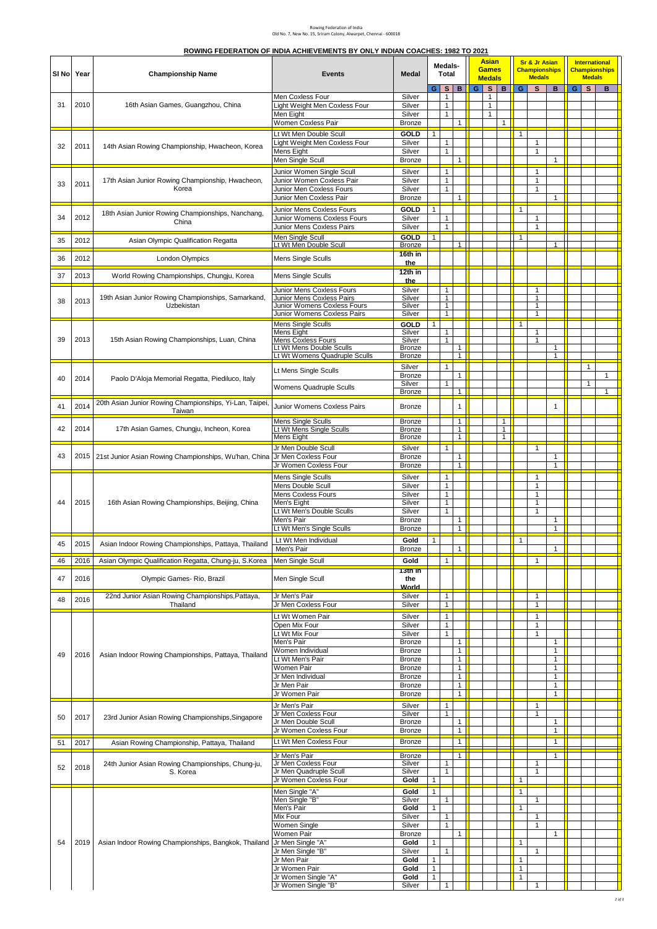## Rowing Federation of India Old No. 7, New No. 15, Sriram Colony, Alwarpet, Chennai - 600018

| ROWING FEDERATION OF INDIA ACHIEVEMENTS BY ONLY INDIAN COACHES: 1982 TO 2021 |  |  |
|------------------------------------------------------------------------------|--|--|
|                                                                              |  |  |

| SI No | Year | <b>Championship Name</b>                                          | <b>Events</b>                                                                                                                                                                                                    | Medal                                                                                                    | Medals-<br>Total                                                                             |                                                                              |                                              |   |                                                   |                                              |                                                                                   |                                                                   |                                                              |   |                   |                              |  |  |  |  |  |  |  |  |  |  |  |  |  |  |  |  |  |  |  |  |  | <b>Asian</b><br><b>Games</b><br><b>Medals</b> |  |  | <b>Sr &amp; Jr Asian</b><br><b>Championships</b><br><b>Medals</b> |  |  | <b>International</b><br><b>Medals</b> | <b>Championships</b> |
|-------|------|-------------------------------------------------------------------|------------------------------------------------------------------------------------------------------------------------------------------------------------------------------------------------------------------|----------------------------------------------------------------------------------------------------------|----------------------------------------------------------------------------------------------|------------------------------------------------------------------------------|----------------------------------------------|---|---------------------------------------------------|----------------------------------------------|-----------------------------------------------------------------------------------|-------------------------------------------------------------------|--------------------------------------------------------------|---|-------------------|------------------------------|--|--|--|--|--|--|--|--|--|--|--|--|--|--|--|--|--|--|--|--|--|-----------------------------------------------|--|--|-------------------------------------------------------------------|--|--|---------------------------------------|----------------------|
| 31    | 2010 | 16th Asian Games, Guangzhou, China                                | Men Coxless Four<br>Light Weight Men Coxless Four<br>Men Eight                                                                                                                                                   | Silver<br>Silver<br>Silver                                                                               | G.                                                                                           | s <sub>1</sub><br>1<br>$\mathbf{1}$<br>$\mathbf{1}$                          | B                                            | G | S<br>$\mathbf{1}$<br>$\mathbf{1}$<br>$\mathbf{1}$ | B                                            | G.                                                                                | S.                                                                | B                                                            | G | $\mathbf{s}$      | B                            |  |  |  |  |  |  |  |  |  |  |  |  |  |  |  |  |  |  |  |  |  |                                               |  |  |                                                                   |  |  |                                       |                      |
| 32    | 2011 | 14th Asian Rowing Championship, Hwacheon, Korea                   | Women Coxless Pair<br>Lt Wt Men Double Scull<br>Light Weight Men Coxless Four<br>Mens Eight<br>Men Single Scull                                                                                                  | Bronze<br>GOLD<br>Silver<br>Silver<br>Bronze                                                             | $\mathbf{1}$                                                                                 | $\mathbf{1}$<br>$\mathbf{1}$                                                 | 1<br>$\mathbf{1}$                            |   |                                                   | $\mathbf{1}$                                 | 1                                                                                 | $\mathbf{1}$<br>$\mathbf{1}$                                      | $\mathbf{1}$                                                 |   |                   |                              |  |  |  |  |  |  |  |  |  |  |  |  |  |  |  |  |  |  |  |  |  |                                               |  |  |                                                                   |  |  |                                       |                      |
| 33    | 2011 | 17th Asian Junior Rowing Championship, Hwacheon,<br>Korea         | Junior Women Single Scull<br>Junior Women Coxless Pair<br>Junior Men Coxless Fours<br>Junior Men Coxless Pair                                                                                                    | Silver<br>Silver<br>Silver<br>Bronze                                                                     |                                                                                              | $\mathbf{1}$<br>$\mathbf{1}$<br>$\mathbf{1}$                                 | $\mathbf{1}$                                 |   |                                                   |                                              |                                                                                   | 1<br>$\mathbf{1}$<br>$\mathbf{1}$                                 | $\mathbf{1}$                                                 |   |                   |                              |  |  |  |  |  |  |  |  |  |  |  |  |  |  |  |  |  |  |  |  |  |                                               |  |  |                                                                   |  |  |                                       |                      |
| 34    | 2012 | 18th Asian Junior Rowing Championships, Nanchang,<br>China        | Junior Mens Coxless Fours<br>Junior Womens Coxless Fours<br>Junior Mens Coxless Pairs                                                                                                                            | <b>GOLD</b><br>Silver<br>Silver                                                                          | $\mathbf{1}$                                                                                 | $\mathbf{1}$<br>$\mathbf{1}$                                                 |                                              |   |                                                   |                                              | $\mathbf{1}$                                                                      | 1<br>$\mathbf{1}$                                                 |                                                              |   |                   |                              |  |  |  |  |  |  |  |  |  |  |  |  |  |  |  |  |  |  |  |  |  |                                               |  |  |                                                                   |  |  |                                       |                      |
| 35    | 2012 | Asian Olympic Qualification Regatta                               | <b>Men Single Scull</b><br>Lt Wt Men Double Scull                                                                                                                                                                | GOLD<br>Bronze                                                                                           | 1                                                                                            |                                                                              | 1                                            |   |                                                   |                                              | 1                                                                                 |                                                                   | 1                                                            |   |                   |                              |  |  |  |  |  |  |  |  |  |  |  |  |  |  |  |  |  |  |  |  |  |                                               |  |  |                                                                   |  |  |                                       |                      |
| 36    | 2012 | <b>London Olympics</b>                                            | Mens Single Sculls                                                                                                                                                                                               | 16th in<br>the                                                                                           |                                                                                              |                                                                              |                                              |   |                                                   |                                              |                                                                                   |                                                                   |                                                              |   |                   |                              |  |  |  |  |  |  |  |  |  |  |  |  |  |  |  |  |  |  |  |  |  |                                               |  |  |                                                                   |  |  |                                       |                      |
| 37    | 2013 | World Rowing Championships, Chungju, Korea                        | Mens Single Sculls                                                                                                                                                                                               | 12th in<br>the                                                                                           |                                                                                              |                                                                              |                                              |   |                                                   |                                              |                                                                                   |                                                                   |                                                              |   |                   |                              |  |  |  |  |  |  |  |  |  |  |  |  |  |  |  |  |  |  |  |  |  |                                               |  |  |                                                                   |  |  |                                       |                      |
| 38    | 2013 | 19th Asian Junior Rowing Championships, Samarkand,<br>Uzbekistan  | Junior Mens Coxless Fours<br>Junior Mens Coxless Pairs<br>Junior Womens Coxless Fours<br>Junior Womens Coxless Pairs                                                                                             | Silver<br>Silver<br>Silver<br>Silver                                                                     |                                                                                              | $\mathbf{1}$<br>$\mathbf{1}$<br>$\mathbf{1}$<br>$\mathbf{1}$                 |                                              |   |                                                   |                                              |                                                                                   | 1<br>1<br>$\mathbf{1}$<br>1                                       |                                                              |   |                   |                              |  |  |  |  |  |  |  |  |  |  |  |  |  |  |  |  |  |  |  |  |  |                                               |  |  |                                                                   |  |  |                                       |                      |
| 39    | 2013 | 15th Asian Rowing Championships, Luan, China                      | Mens Single Sculls<br>Mens Eight<br><b>Mens Coxless Fours</b><br>Lt Wt Mens Double Sculls<br>Lt Wt Womens Quadruple Sculls                                                                                       | GOLD<br>Silver<br>Silver<br>Bronze<br>Bronze                                                             | $\mathbf{1}$                                                                                 | 1<br>$\mathbf{1}$                                                            | $\mathbf{1}$<br>$\mathbf{1}$                 |   |                                                   |                                              | $\mathbf{1}$                                                                      | $\mathbf{1}$<br>$\mathbf{1}$                                      | $\mathbf{1}$<br>$\mathbf{1}$                                 |   |                   |                              |  |  |  |  |  |  |  |  |  |  |  |  |  |  |  |  |  |  |  |  |  |                                               |  |  |                                                                   |  |  |                                       |                      |
| 40    | 2014 | Paolo D'Aloja Memorial Regatta, Piediluco, Italy                  | Lt Mens Single Sculls<br>Womens Quadruple Sculls                                                                                                                                                                 | Silver<br><b>Bronze</b><br>Silver<br>Bronze                                                              |                                                                                              | $\mathbf{1}$<br>$\mathbf{1}$                                                 | $\mathbf{1}$<br>$\mathbf{1}$                 |   |                                                   |                                              |                                                                                   |                                                                   |                                                              |   | $\mathbf{1}$<br>1 | $\mathbf{1}$<br>$\mathbf{1}$ |  |  |  |  |  |  |  |  |  |  |  |  |  |  |  |  |  |  |  |  |  |                                               |  |  |                                                                   |  |  |                                       |                      |
| 41    | 2014 | 20th Asian Junior Rowing Championships, Yi-Lan, Taipei,<br>Taiwan | Junior Womens Coxless Pairs                                                                                                                                                                                      | Bronze                                                                                                   |                                                                                              |                                                                              | 1                                            |   |                                                   |                                              |                                                                                   |                                                                   | $\mathbf{1}$                                                 |   |                   |                              |  |  |  |  |  |  |  |  |  |  |  |  |  |  |  |  |  |  |  |  |  |                                               |  |  |                                                                   |  |  |                                       |                      |
| 42    | 2014 | 17th Asian Games, Chungju, Incheon, Korea                         | Mens Single Sculls<br>Lt Wt Mens Single Sculls<br>Mens Eight                                                                                                                                                     | Bronze<br>Bronze<br>Bronze                                                                               |                                                                                              |                                                                              | $\mathbf{1}$<br>$\mathbf{1}$<br>$\mathbf{1}$ |   |                                                   | $\mathbf{1}$<br>$\mathbf{1}$<br>$\mathbf{1}$ |                                                                                   |                                                                   |                                                              |   |                   |                              |  |  |  |  |  |  |  |  |  |  |  |  |  |  |  |  |  |  |  |  |  |                                               |  |  |                                                                   |  |  |                                       |                      |
| 43    |      | 2015   21st Junior Asian Rowing Championships, Wu'han, China      | Jr Men Double Scull<br>Jr Men Coxless Four<br>Jr Women Coxless Four                                                                                                                                              | Silver<br>Bronze<br>Bronze                                                                               |                                                                                              | $\mathbf{1}$                                                                 | 1<br>1                                       |   |                                                   |                                              |                                                                                   | $\mathbf{1}$                                                      | $\mathbf{1}$<br>$\mathbf{1}$                                 |   |                   |                              |  |  |  |  |  |  |  |  |  |  |  |  |  |  |  |  |  |  |  |  |  |                                               |  |  |                                                                   |  |  |                                       |                      |
| 44    | 2015 | 16th Asian Rowing Championships, Beijing, China                   | Mens Single Sculls<br>Mens Double Scull<br>Mens Coxless Fours<br>Men's Eight<br>Lt Wt Men's Double Sculls<br>Men's Pair<br>Lt Wt Men's Single Sculls                                                             | Silver<br>Silver<br>Silver<br>Silver<br>Silver<br>Bronze<br>Bronze                                       |                                                                                              | $\mathbf{1}$<br>$\mathbf{1}$<br>$\mathbf{1}$<br>$\mathbf{1}$<br>$\mathbf{1}$ | 1<br>$\mathbf{1}$                            |   |                                                   |                                              |                                                                                   | 1<br>$\mathbf{1}$<br>$\mathbf{1}$<br>1<br>$\mathbf{1}$            | $\mathbf{1}$<br>$\mathbf{1}$                                 |   |                   |                              |  |  |  |  |  |  |  |  |  |  |  |  |  |  |  |  |  |  |  |  |  |                                               |  |  |                                                                   |  |  |                                       |                      |
| 45    | 2015 | Asian Indoor Rowing Championships, Pattaya, Thailand              | Lt Wt Men Individual                                                                                                                                                                                             | Gold                                                                                                     | $\mathbf{1}$                                                                                 |                                                                              |                                              |   |                                                   |                                              | $\mathbf{1}$                                                                      |                                                                   |                                                              |   |                   |                              |  |  |  |  |  |  |  |  |  |  |  |  |  |  |  |  |  |  |  |  |  |                                               |  |  |                                                                   |  |  |                                       |                      |
| 46    | 2016 | Asian Olympic Qualification Regatta, Chung-ju, S.Korea            | Men's Pair<br>Men Single Scull                                                                                                                                                                                   | <b>Bronze</b><br>Gold                                                                                    |                                                                                              | $\mathbf{1}$                                                                 | $\mathbf{1}$                                 |   |                                                   |                                              |                                                                                   | 1                                                                 | 1                                                            |   |                   |                              |  |  |  |  |  |  |  |  |  |  |  |  |  |  |  |  |  |  |  |  |  |                                               |  |  |                                                                   |  |  |                                       |                      |
| 47    | 2016 | Olympic Games- Rio, Brazil                                        | Men Single Scull                                                                                                                                                                                                 | 13th in<br>the<br><b>World</b>                                                                           |                                                                                              |                                                                              |                                              |   |                                                   |                                              |                                                                                   |                                                                   |                                                              |   |                   |                              |  |  |  |  |  |  |  |  |  |  |  |  |  |  |  |  |  |  |  |  |  |                                               |  |  |                                                                   |  |  |                                       |                      |
| 48    | 2016 | 22nd Junior Asian Rowing Championships, Pattaya,<br>Thailand      | Jr Men's Pair<br>Jr Men Coxless Four                                                                                                                                                                             | Silver<br>Silver                                                                                         |                                                                                              | $\mathbf{1}$<br>$\mathbf{1}$                                                 |                                              |   |                                                   |                                              |                                                                                   | $\mathbf{1}$<br>$\mathbf{1}$                                      |                                                              |   |                   |                              |  |  |  |  |  |  |  |  |  |  |  |  |  |  |  |  |  |  |  |  |  |                                               |  |  |                                                                   |  |  |                                       |                      |
| 49    | 2016 | Asian Indoor Rowing Championships, Pattaya, Thailand              | Lt Wt Women Pair<br>Open Mix Four<br>Lt Wt Mix Four<br>Men's Pair<br>Women Individual<br>Lt Wt Men's Pair<br>Women Pair                                                                                          | Silver<br>Silver<br>Silver<br>Bronze<br>Bronze<br>Bronze<br>Bronze                                       |                                                                                              | $\mathbf{1}$<br>$\mathbf{1}$<br>$\mathbf{1}$                                 | 1<br>1<br>$\mathbf{1}$<br>$\mathbf{1}$       |   |                                                   |                                              |                                                                                   | $\mathbf{1}$<br>$\mathbf{1}$<br>$\mathbf{1}$                      | $\mathbf{1}$<br>$\mathbf{1}$<br>$\mathbf{1}$<br>$\mathbf{1}$ |   |                   |                              |  |  |  |  |  |  |  |  |  |  |  |  |  |  |  |  |  |  |  |  |  |                                               |  |  |                                                                   |  |  |                                       |                      |
|       |      |                                                                   | Jr Men Individual<br>Jr Men Pair<br>Jr Women Pair<br>Jr Men's Pair                                                                                                                                               | <b>Bronze</b><br>Bronze<br>Bronze<br>Silver                                                              |                                                                                              | $\mathbf{1}$                                                                 | $\mathbf{1}$<br>$\mathbf{1}$<br>$\mathbf{1}$ |   |                                                   |                                              |                                                                                   | 1                                                                 | $\mathbf{1}$<br>$\mathbf{1}$<br>$\mathbf{1}$                 |   |                   |                              |  |  |  |  |  |  |  |  |  |  |  |  |  |  |  |  |  |  |  |  |  |                                               |  |  |                                                                   |  |  |                                       |                      |
| 50    | 2017 | 23rd Junior Asian Rowing Championships, Singapore                 | Jr Men Coxless Four<br>Jr Men Double Scull<br>Jr Women Coxless Four                                                                                                                                              | Silver<br>Bronze<br>Bronze                                                                               |                                                                                              | $\mathbf{1}$                                                                 | 1<br>$\mathbf{1}$                            |   |                                                   |                                              |                                                                                   | $\mathbf{1}$                                                      | $\mathbf{1}$<br>$\mathbf{1}$                                 |   |                   |                              |  |  |  |  |  |  |  |  |  |  |  |  |  |  |  |  |  |  |  |  |  |                                               |  |  |                                                                   |  |  |                                       |                      |
| 51    | 2017 | Asian Rowing Championship, Pattaya, Thailand                      | Lt Wt Men Coxless Four                                                                                                                                                                                           | Bronze                                                                                                   |                                                                                              |                                                                              | $\mathbf{1}$                                 |   |                                                   |                                              |                                                                                   |                                                                   | $\mathbf{1}$                                                 |   |                   |                              |  |  |  |  |  |  |  |  |  |  |  |  |  |  |  |  |  |  |  |  |  |                                               |  |  |                                                                   |  |  |                                       |                      |
| 52    | 2018 | 24th Junior Asian Rowing Championships, Chung-ju,<br>S. Korea     | Jr Men's Pair<br>Jr Men Coxless Four<br>Jr Men Quadruple Scull<br>Jr Women Coxless Four                                                                                                                          | Bronze<br>Silver<br>Silver<br>Gold                                                                       | $\mathbf{1}$                                                                                 | 1<br>$\mathbf{1}$                                                            | $\overline{1}$                               |   |                                                   |                                              | $\mathbf{1}$                                                                      | 1<br>1                                                            | $\mathbf{1}$                                                 |   |                   |                              |  |  |  |  |  |  |  |  |  |  |  |  |  |  |  |  |  |  |  |  |  |                                               |  |  |                                                                   |  |  |                                       |                      |
| 54    | 2019 | Asian Indoor Rowing Championships, Bangkok, Thailand              | Men Single "A"<br>Men Single "B"<br>Men's Pair<br>Mix Four<br>Women Single<br>Women Pair<br>Jr Men Single "A"<br>Jr Men Single "B"<br>Jr Men Pair<br>Jr Women Pair<br>Jr Women Single "A"<br>Jr Women Single "B" | Gold<br>Silver<br>Gold<br>Silver<br>Silver<br>Bronze<br>Gold<br>Silver<br>Gold<br>Gold<br>Gold<br>Silver | $\mathbf{1}$<br>$\mathbf{1}$<br>$\mathbf{1}$<br>$\mathbf{1}$<br>$\mathbf{1}$<br>$\mathbf{1}$ | $\mathbf{1}$<br>$\mathbf{1}$<br>1<br>$\mathbf{1}$<br>$\mathbf{1}$            | 1                                            |   |                                                   |                                              | $\mathbf{1}$<br>$\mathbf{1}$<br>$\mathbf{1}$<br>$\mathbf{1}$<br>$\mathbf{1}$<br>1 | $\mathbf{1}$<br>1<br>$\mathbf{1}$<br>$\mathbf{1}$<br>$\mathbf{1}$ | $\mathbf{1}$                                                 |   |                   |                              |  |  |  |  |  |  |  |  |  |  |  |  |  |  |  |  |  |  |  |  |  |                                               |  |  |                                                                   |  |  |                                       |                      |